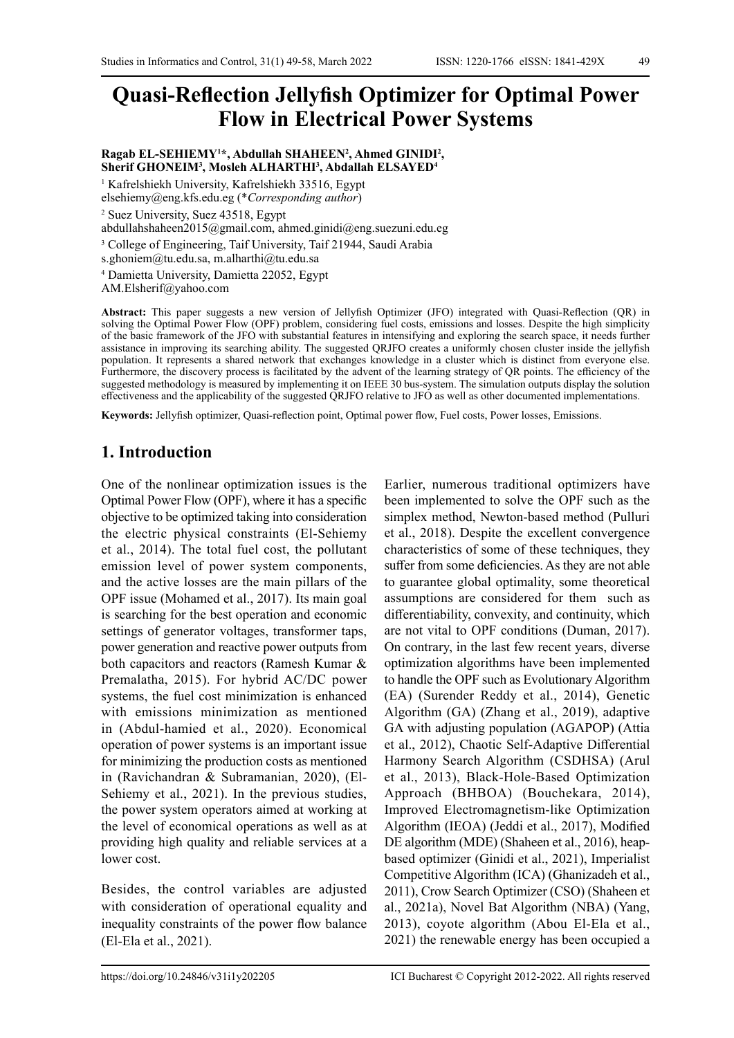# **Quasi-Reflection Jellyfish Optimizer for Optimal Power Flow in Electrical Power Systems**

#### **Ragab EL-SEHIEMY<sup>1</sup> \*, Abdullah SHAHEEN<sup>2</sup> , Ahmed GINIDI<sup>2</sup> , Sherif GHONEIM<sup>3</sup> , Mosleh ALHARTHI<sup>3</sup> , Abdallah ELSAYED<sup>4</sup>**

1 Kafrelshiekh University, Kafrelshiekh 33516, Egypt elsehiemy@eng.kfs.edu.eg (\**Corresponding author*)

2 Suez University, Suez 43518, Egypt

[abdullahshaheen2015@gmail.com,](mailto:abdullahshaheen2015@gmail.com) [ahmed.ginidi@eng.suezuni.edu.eg](mailto:ahmed.ginidi@eng.suezuni.edu.eg)

<sup>3</sup> College of Engineering, Taif University, Taif 21944, Saudi Arabia

[s.ghoniem@tu.edu.sa](mailto:s.ghoniem@tu.edu.sa), [m.alharthi@tu.edu.sa](mailto:m.alharthi@tu.edu.sa)

4 Damietta University, Damietta 22052, Egypt

[AM.Elsherif@yahoo.com](mailto:AM.Elsherif@yahoo.com)

**Abstract:** This paper suggests a new version of Jellyfish Optimizer (JFO) integrated with Quasi-Reflection (QR) in solving the Optimal Power Flow (OPF) problem, considering fuel costs, emissions and losses. Despite the high simplicity of the basic framework of the JFO with substantial features in intensifying and exploring the search space, it needs further assistance in improving its searching ability. The suggested QRJFO creates a uniformly chosen cluster inside the jellyfish population. It represents a shared network that exchanges knowledge in a cluster which is distinct from everyone else. Furthermore, the discovery process is facilitated by the advent of the learning strategy of QR points. The efficiency of the suggested methodology is measured by implementing it on IEEE 30 bus-system. The simulation outputs display the solution effectiveness and the applicability of the suggested QRJFO relative to JFO as well as other documented implementations.

**Keywords:** Jellyfish optimizer, Quasi-reflection point, Optimal power flow, Fuel costs, Power losses, Emissions.

# **1. Introduction**

One of the nonlinear optimization issues is the Optimal Power Flow (OPF), where it has a specific objective to be optimized taking into consideration the electric physical constraints (El-Sehiemy et al., 2014). The total fuel cost, the pollutant emission level of power system components, and the active losses are the main pillars of the OPF issue (Mohamed et al., 2017). Its main goal is searching for the best operation and economic settings of generator voltages, transformer taps, power generation and reactive power outputs from both capacitors and reactors (Ramesh Kumar & Premalatha, 2015). For hybrid AC/DC power systems, the fuel cost minimization is enhanced with emissions minimization as mentioned in (Abdul-hamied et al., 2020). Economical operation of power systems is an important issue for minimizing the production costs as mentioned in (Ravichandran & Subramanian, 2020), (El-Sehiemy et al., 2021). In the previous studies, the power system operators aimed at working at the level of economical operations as well as at providing high quality and reliable services at a lower cost.

Besides, the control variables are adjusted with consideration of operational equality and inequality constraints of the power flow balance (El-Ela et al., 2021).

Earlier, numerous traditional optimizers have been implemented to solve the OPF such as the simplex method, Newton-based method (Pulluri et al., 2018). Despite the excellent convergence characteristics of some of these techniques, they suffer from some deficiencies. As they are not able to guarantee global optimality, some theoretical assumptions are considered for them such as differentiability, convexity, and continuity, which are not vital to OPF conditions (Duman, 2017). On contrary, in the last few recent years, diverse optimization algorithms have been implemented to handle the OPF such as Evolutionary Algorithm (EA) (Surender Reddy et al., 2014), Genetic Algorithm (GA) (Zhang et al., 2019), adaptive GA with adjusting population (AGAPOP) (Attia et al., 2012), Chaotic Self-Adaptive Differential Harmony Search Algorithm (CSDHSA) (Arul et al., 2013), Black-Hole-Based Optimization Approach (BHBOA) (Bouchekara, 2014), Improved Electromagnetism-like Optimization Algorithm (IEOA) (Jeddi et al., 2017), Modified DE algorithm (MDE) (Shaheen et al., 2016), heapbased optimizer (Ginidi et al., 2021), Imperialist Competitive Algorithm (ICA) (Ghanizadeh et al., 2011), Crow Search Optimizer (CSO) (Shaheen et al., 2021a), Novel Bat Algorithm (NBA) (Yang, 2013), coyote algorithm (Abou El-Ela et al., 2021) the renewable energy has been occupied a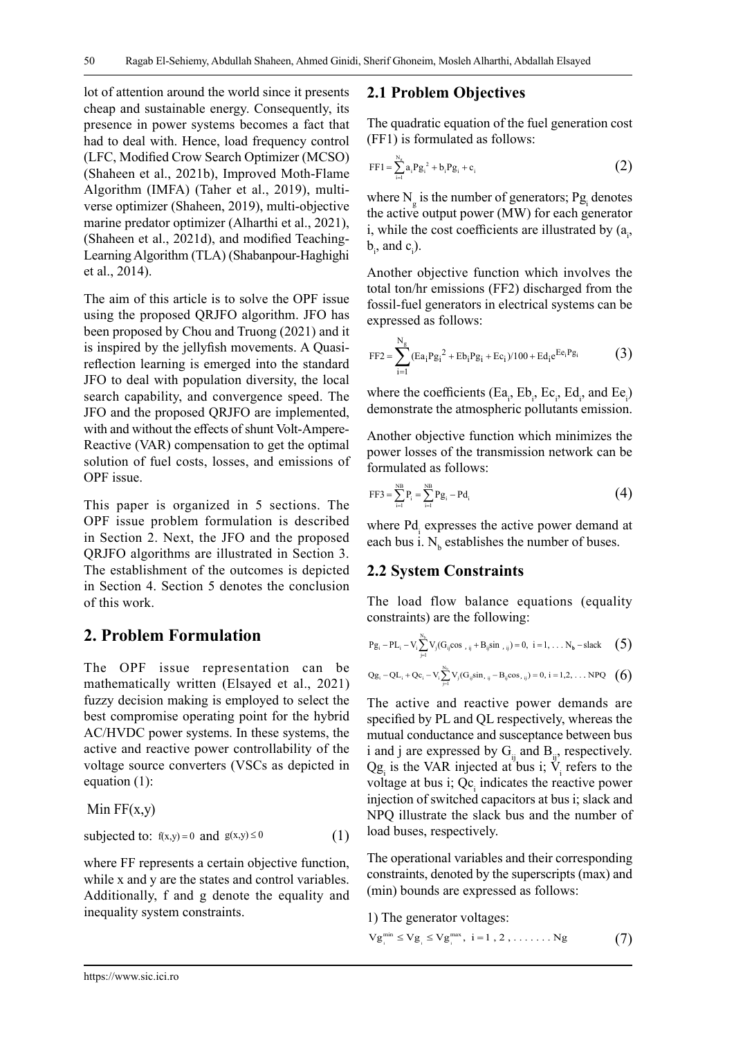lot of attention around the world since it presents cheap and sustainable energy. Consequently, its presence in power systems becomes a fact that had to deal with. Hence, load frequency control (LFC, Modified Crow Search Optimizer (MCSO) (Shaheen et al., 2021b), Improved Moth‐Flame Algorithm (IMFA) (Taher et al., 2019), multiverse optimizer (Shaheen, 2019), multi-objective marine predator optimizer (Alharthi et al., 2021), (Shaheen et al., 2021d), and modified Teaching-Learning Algorithm (TLA) (Shabanpour-Haghighi et al., 2014).

The aim of this article is to solve the OPF issue using the proposed QRJFO algorithm. JFO has been proposed by Chou and Truong (2021) and it is inspired by the jellyfish movements. A Quasireflection learning is emerged into the standard JFO to deal with population diversity, the local search capability, and convergence speed. The JFO and the proposed QRJFO are implemented, with and without the effects of shunt Volt-Ampere-Reactive (VAR) compensation to get the optimal solution of fuel costs, losses, and emissions of OPF issue.

This paper is organized in 5 sections. The OPF issue problem formulation is described in Section 2. Next, the JFO and the proposed QRJFO algorithms are illustrated in Section 3. The establishment of the outcomes is depicted in Section 4. Section 5 denotes the conclusion of this work.

# **2. Problem Formulation**

The OPF issue representation can be mathematically written (Elsayed et al., 2021) fuzzy decision making is employed to select the best compromise operating point for the hybrid AC/HVDC power systems. In these systems, the active and reactive power controllability of the voltage source converters (VSCs as depicted in equation (1):

Min 
$$
FF(x,y)
$$

subjected to: 
$$
f(x,y) = 0
$$
 and  $g(x,y) \le 0$  (1)

where FF represents a certain objective function, while x and y are the states and control variables. Additionally, f and g denote the equality and inequality system constraints.

# **2.1 Problem Objectives**

The quadratic equation of the fuel generation cost (FF1) is formulated as follows:

$$
FF1 = \sum_{i=1}^{N_g} a_i P g_i^2 + b_i P g_i + c_i
$$
 (2)

where  $N_g$  is the number of generators;  $Pg_i$  denotes the active output power (MW) for each generator i, while the cost coefficients are illustrated by  $(a_i, a_j)$  $\mathbf{b}_{i}$ , and  $\mathbf{c}_{i}$ ).

Another objective function which involves the total ton/hr emissions (FF2) discharged from the fossil-fuel generators in electrical systems can be expressed as follows:

$$
FF2 = \sum_{i=1}^{N_g} (Ea_iPg_i^2 + Eb_iPg_i + Ec_i)/100 + Ed_ie^{Ee_iPg_i}
$$
 (3)

where the coefficients  $(Ea_i, Eb_i, Ec_i, Ed_i, and Ee_i)$ demonstrate the atmospheric pollutants emission.

Another objective function which minimizes the power losses of the transmission network can be formulated as follows:

$$
FF3 = \sum_{i=1}^{NB} P_i = \sum_{i=1}^{NB} Pg_i - Pd_i
$$
 (4)

where Pd<sub>i</sub> expresses the active power demand at each bus i.  $N_b$  establishes the number of buses.

# **2.2 System Constraints**

The load flow balance equations (equality constraints) are the following:

$$
Pg_i - PL_i - V_i \sum_{j=1}^{N_b} V_j (G_{ij} \cos \theta_{j} + B_{ij} \sin \theta_{j} \sin \theta_{j}) = 0, \ i = 1, \dots, N_b - slack \quad (5)
$$

$$
Qg_i - QL_i + Qc_i - V_i \sum_{j=1}^{N_a} V_j (G_{ij} sin, {}_{ij} - B_{ij} cos, {}_{ij}) = 0, i = 1, 2, \dots NPQ \quad \left( 6 \right)
$$

The active and reactive power demands are specified by PL and QL respectively, whereas the mutual conductance and susceptance between bus i and j are expressed by  $G_i$  and  $B_i$ , respectively.  $Qg_i$  is the VAR injected at bus i;  $\dot{V}_i$  refers to the voltage at bus i;  $Qc<sub>i</sub>$  indicates the reactive power injection of switched capacitors at bus i; slack and NPQ illustrate the slack bus and the number of load buses, respectively.

The operational variables and their corresponding constraints, denoted by the superscripts (max) and (min) bounds are expressed as follows:

1) The generator voltages:

$$
Vg_i^{\min} \leq Vg_i \leq Vg_i^{\max}, i=1,2,\ldots\ldots Ng
$$
 (7)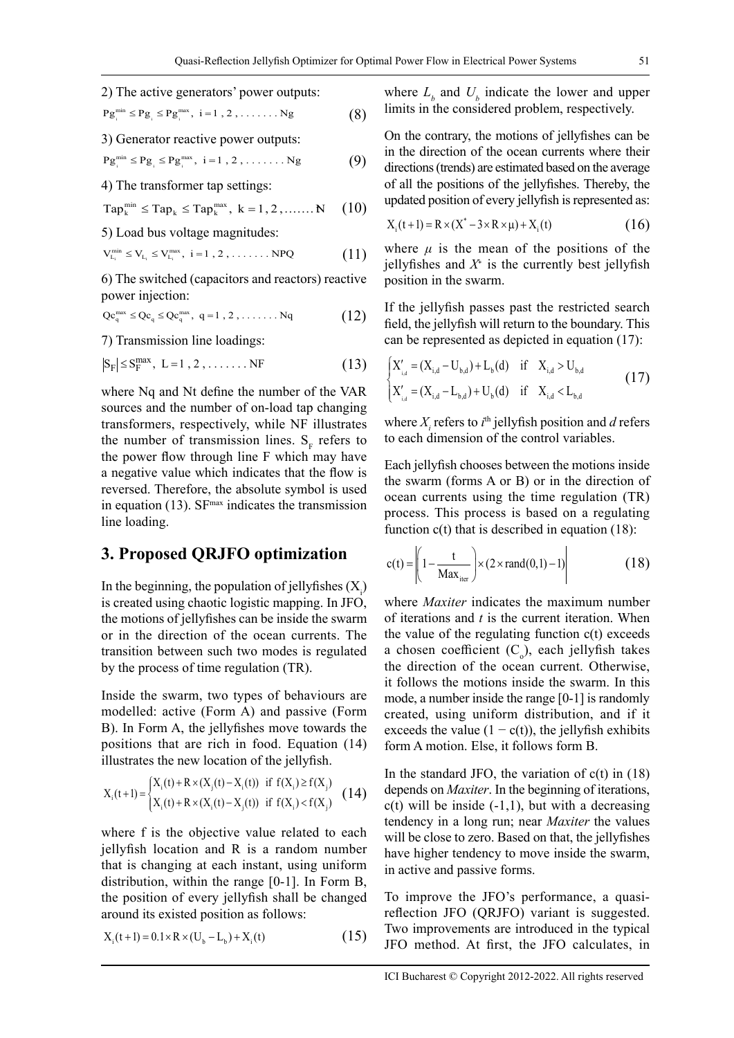2) The active generators' power outputs:

$$
Pg_i^{min} \leq Pg_i \leq Pg_i^{max}, i = 1, 2, \dots \dots Ng
$$
 (8)

3) Generator reactive power outputs:

$$
Pg_i^{min} \leq Pg_i \leq Pg_i^{max}, i = 1, 2, \dots \dots \cdot Ng
$$
 (9)

4) The transformer tap settings:

 $\text{Tap}_{k}^{\min} \leq \text{Tap}_{k} \leq \text{Tap}_{k}^{\max}, k = 1, 2, \dots \dots N \quad (10)$ 

5) Load bus voltage magnitudes:

$$
V_{L_i}^{min} \leq V_{L_i} \leq V_{L_i}^{max}, \ i = 1, 2, \ldots \ldots \text{ NPQ} \qquad \qquad \textbf{(11)}
$$

6) The switched (capacitors and reactors) reactive power injection:

$$
\mathrm{Qc}_{q}^{\max} \leq \mathrm{Qc}_{q} \leq \mathrm{Qc}_{q}^{\max}, \ q = 1, 2, \dots \dots \dots \mathrm{Nq} \tag{12}
$$

7) Transmission line loadings:

$$
|S_F| \leq S_F^{max}, \ L = 1, 2, \ldots \ldots \text{NF} \tag{13}
$$

where Nq and Nt define the number of the VAR sources and the number of on-load tap changing transformers, respectively, while NF illustrates the number of transmission lines.  $S_F$  refers to the power flow through line F which may have a negative value which indicates that the flow is reversed. Therefore, the absolute symbol is used in equation (13).  $SF<sup>max</sup>$  indicates the transmission line loading.

### **3. Proposed QRJFO optimization**

In the beginning, the population of jellyfishes  $(X_i)$ is created using chaotic logistic mapping. In JFO, the motions of jellyfishes can be inside the swarm or in the direction of the ocean currents. The transition between such two modes is regulated by the process of time regulation (TR).

Inside the swarm, two types of behaviours are modelled: active (Form A) and passive (Form B). In Form A, the jellyfishes move towards the positions that are rich in food. Equation (14) illustrates the new location of the jellyfish.

$$
X_{i}(t+1) = \begin{cases} X_{i}(t) + R \times (X_{j}(t) - X_{i}(t)) & \text{if } f(X_{i}) \ge f(X_{j}) \\ X_{i}(t) + R \times (X_{i}(t) - X_{j}(t)) & \text{if } f(X_{i}) < f(X_{j}) \end{cases}
$$
(14)

where f is the objective value related to each jellyfish location and R is a random number that is changing at each instant, using uniform distribution, within the range [0-1]. In Form B, the position of every jellyfish shall be changed around its existed position as follows:

 $X_i(t+1) = 0.1 \times R \times (U_b - L_b) + X_i(t)$  (15)

where  $L_b$  and  $U_b$  indicate the lower and upper limits in the considered problem, respectively.

On the contrary, the motions of jellyfishes can be in the direction of the ocean currents where their directions (trends) are estimated based on the average of all the positions of the jellyfishes. Thereby, the updated position of every jellyfish is represented as:

$$
X_i(t+1) = R \times (X^* - 3 \times R \times \mu) + X_i(t)
$$
\n(16)

where  $\mu$  is the mean of the positions of the jellyfishes and *X*<sup>∗</sup> is the currently best jellyfish position in the swarm.

If the jellyfish passes past the restricted search field, the jellyfish will return to the boundary. This can be represented as depicted in equation (17):

$$
\begin{cases} X'_{i,d} = (X_{i,d} - U_{b,d}) + L_b(d) & \text{if} \quad X_{i,d} > U_{b,d} \\ X'_{i,d} = (X_{i,d} - L_{b,d}) + U_b(d) & \text{if} \quad X_{i,d} < L_{b,d} \end{cases}
$$
 (17)

where  $X_i$  refers to  $i^{\text{th}}$  jellyfish position and *d* refers to each dimension of the control variables.

Each jellyfish chooses between the motions inside the swarm (forms A or B) or in the direction of ocean currents using the time regulation (TR) process. This process is based on a regulating function  $c(t)$  that is described in equation (18):

$$
c(t) = \left(1 - \frac{t}{\text{Max}_{iter}}\right) \times (2 \times \text{rand}(0,1) - 1) \tag{18}
$$

where *Maxiter* indicates the maximum number of iterations and *t* is the current iteration. When the value of the regulating function  $c(t)$  exceeds a chosen coefficient  $(C_0)$ , each jellyfish takes the direction of the ocean current. Otherwise, it follows the motions inside the swarm. In this mode, a number inside the range [0-1] is randomly created, using uniform distribution, and if it exceeds the value  $(1 - c(t))$ , the jellyfish exhibits form A motion. Else, it follows form B.

In the standard JFO, the variation of  $c(t)$  in  $(18)$ depends on *Maxiter*. In the beginning of iterations,  $c(t)$  will be inside  $(-1,1)$ , but with a decreasing tendency in a long run; near *Maxiter* the values will be close to zero. Based on that, the jellyfishes have higher tendency to move inside the swarm, in active and passive forms.

To improve the JFO's performance, a quasireflection JFO (QRJFO) variant is suggested. Two improvements are introduced in the typical JFO method. At first, the JFO calculates, in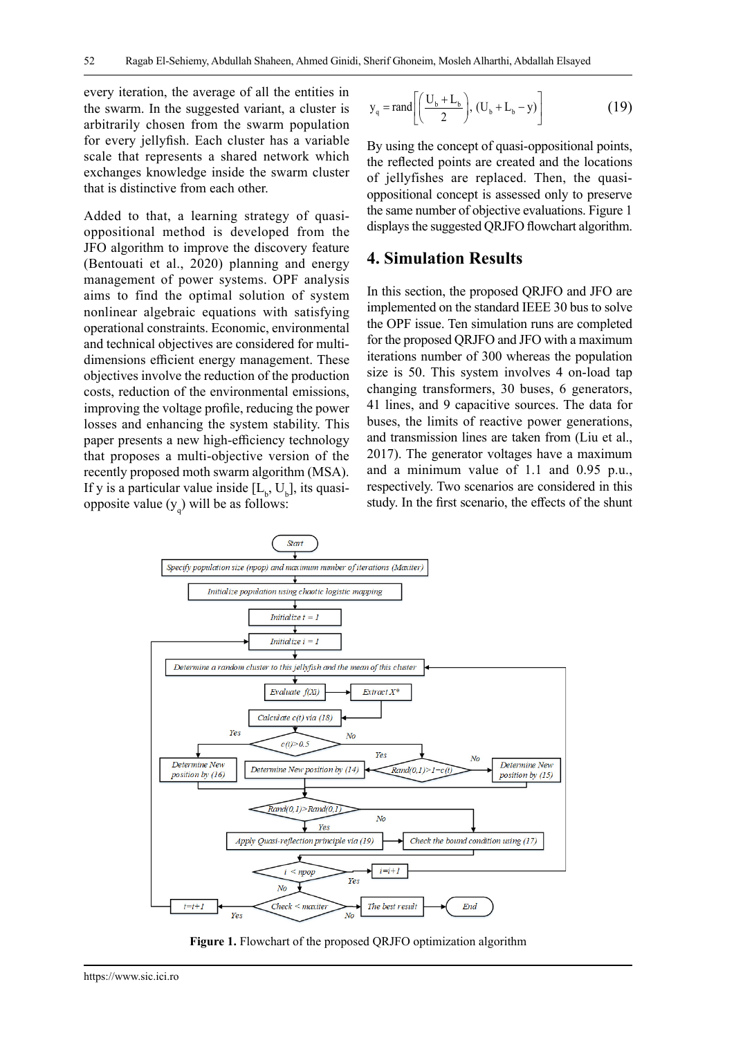every iteration, the average of all the entities in the swarm. In the suggested variant, a cluster is arbitrarily chosen from the swarm population for every jellyfish. Each cluster has a variable scale that represents a shared network which exchanges knowledge inside the swarm cluster that is distinctive from each other.

Added to that, a learning strategy of quasioppositional method is developed from the JFO algorithm to improve the discovery feature (Bentouati et al., 2020) planning and energy management of power systems. OPF analysis aims to find the optimal solution of system nonlinear algebraic equations with satisfying operational constraints. Economic, environmental and technical objectives are considered for multidimensions efficient energy management. These objectives involve the reduction of the production costs, reduction of the environmental emissions, improving the voltage profile, reducing the power losses and enhancing the system stability. This paper presents a new high-efficiency technology that proposes a multi-objective version of the recently proposed moth swarm algorithm (MSA). If y is a particular value inside  $[L_{\text{b}}^{\text{}} , U_{\text{b}}^{\text{}}]$ , its quasiopposite value  $(y_q)$  will be as follows:

$$
y_{q} = \text{rand}\left[ \left( \frac{U_{b} + L_{b}}{2} \right), (U_{b} + L_{b} - y) \right]
$$
 (19)

By using the concept of quasi-oppositional points, the reflected points are created and the locations of jellyfishes are replaced. Then, the quasioppositional concept is assessed only to preserve the same number of objective evaluations. Figure 1 displays the suggested QRJFO flowchart algorithm.

# **4. Simulation Results**

In this section, the proposed QRJFO and JFO are implemented on the standard IEEE 30 bus to solve the OPF issue. Ten simulation runs are completed for the proposed QRJFO and JFO with a maximum iterations number of 300 whereas the population size is 50. This system involves 4 on-load tap changing transformers, 30 buses, 6 generators, 41 lines, and 9 capacitive sources. The data for buses, the limits of reactive power generations, and transmission lines are taken from (Liu et al., 2017). The generator voltages have a maximum and a minimum value of 1.1 and 0.95 p.u., respectively. Two scenarios are considered in this study. In the first scenario, the effects of the shunt



**Figure 1.** Flowchart of the proposed QRJFO optimization algorithm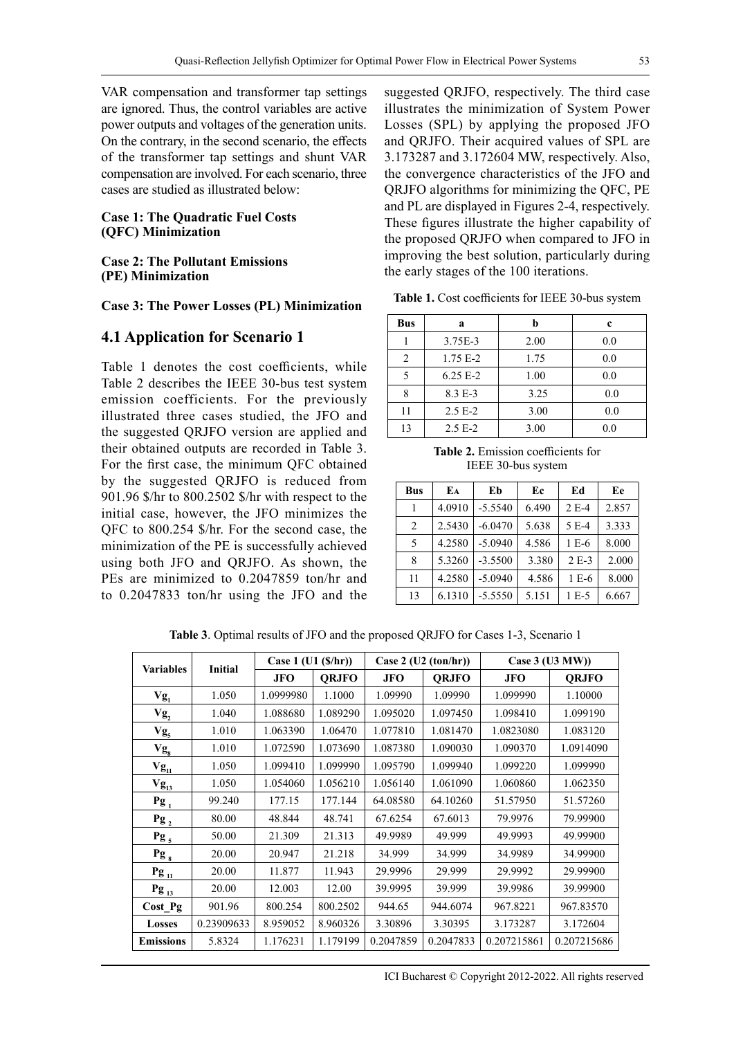VAR compensation and transformer tap settings are ignored. Thus, the control variables are active power outputs and voltages of the generation units. On the contrary, in the second scenario, the effects of the transformer tap settings and shunt VAR compensation are involved. For each scenario, three cases are studied as illustrated below:

#### **Case 1: The Quadratic Fuel Costs (QFC) Minimization**

#### **Case 2: The Pollutant Emissions (PE) Minimization**

#### **Case 3: The Power Losses (PL) Minimization**

#### **4.1 Application for Scenario 1**

Table 1 denotes the cost coefficients, while Table 2 describes the IEEE 30-bus test system emission coefficients. For the previously illustrated three cases studied, the JFO and the suggested QRJFO version are applied and their obtained outputs are recorded in Table 3. For the first case, the minimum QFC obtained by the suggested QRJFO is reduced from 901.96 \$/hr to 800.2502 \$/hr with respect to the initial case, however, the JFO minimizes the QFC to 800.254 \$/hr. For the second case, the minimization of the PE is successfully achieved using both JFO and QRJFO. As shown, the PEs are minimized to 0.2047859 ton/hr and to 0.2047833 ton/hr using the JFO and the

suggested QRJFO, respectively. The third case illustrates the minimization of System Power Losses (SPL) by applying the proposed JFO and QRJFO. Their acquired values of SPL are 3.173287 and 3.172604 MW, respectively. Also, the convergence characteristics of the JFO and QRJFO algorithms for minimizing the QFC, PE and PL are displayed in Figures 2-4, respectively. These figures illustrate the higher capability of the proposed QRJFO when compared to JFO in improving the best solution, particularly during the early stages of the 100 iterations.

**Table 1.** Cost coefficients for IEEE 30-bus system

| Bus | a          | h    | c   |
|-----|------------|------|-----|
|     | 3.75E-3    | 2.00 | 0.0 |
| 2   | 1.75 E-2   | 1.75 | 0.0 |
| 5   | $6.25 E-2$ | 1.00 | 0.0 |
| 8   | 8.3 E-3    | 3.25 | 0.0 |
| 11  | $2.5 E-2$  | 3.00 | 0.0 |
| 13  | $2.5 E-2$  | 3.00 | 0.0 |

**Table 2.** Emission coefficients for IEEE 30-bus system

| Bus | EА     | Eb        | Ec    | Ed      | Ee    |
|-----|--------|-----------|-------|---------|-------|
|     | 4.0910 | $-5.5540$ | 6.490 | $2E-4$  | 2.857 |
| 2   | 2.5430 | $-6.0470$ | 5.638 | 5 E-4   | 3.333 |
| 5   | 4.2580 | $-5.0940$ | 4.586 | 1 E-6   | 8.000 |
| 8   | 5.3260 | $-3.5500$ | 3.380 | $2E-3$  | 2.000 |
| 11  | 4.2580 | $-5.0940$ | 4.586 | $1 E-6$ | 8.000 |
| 13  | 6.1310 | $-5.5550$ | 5.151 | $1E-5$  | 6.667 |

| <b>Variables</b>                  | <b>Initial</b> | Case 1 $(U1 (S/hr))$ |              | Case 2 (U2 (ton/hr)) |              | Case 3 (U3 MW)) |              |
|-----------------------------------|----------------|----------------------|--------------|----------------------|--------------|-----------------|--------------|
|                                   |                | <b>JFO</b>           | <b>QRJFO</b> | <b>JFO</b>           | <b>QRJFO</b> | JFO             | <b>QRJFO</b> |
| $Vg_1$                            | 1.050          | 1.0999980            | 1.1000       | 1.09990              | 1.09990      | 1.099990        | 1.10000      |
| $V_{\mathbf{g}_2}$                | 1.040          | 1.088680             | 1.089290     | 1.095020             | 1.097450     | 1.098410        | 1.099190     |
| Vg <sub>5</sub>                   | 1.010          | 1.063390             | 1.06470      | 1.077810             | 1.081470     | 1.0823080       | 1.083120     |
| $Vg_{8}$                          | 1.010          | 1.072590             | 1.073690     | 1.087380             | 1.090030     | 1.090370        | 1.0914090    |
| $Vg_{\underline{1}\underline{1}}$ | 1.050          | 1.099410             | 1.099990     | 1.095790             | 1.099940     | 1.099220        | 1.099990     |
| $V_{\mathbf{g}_{13}}$             | 1.050          | 1.054060             | 1.056210     | 1.056140             | 1.061090     | 1.060860        | 1.062350     |
| $Pg_1$                            | 99.240         | 177.15               | 177.144      | 64.08580             | 64.10260     | 51.57950        | 51.57260     |
| $Pg_2$                            | 80.00          | 48.844               | 48.741       | 67.6254              | 67.6013      | 79.9976         | 79.99900     |
| $\text{Pg}_5$                     | 50.00          | 21.309               | 21.313       | 49.9989              | 49.999       | 49.9993         | 49.99900     |
| $Pg_8$                            | 20.00          | 20.947               | 21.218       | 34.999               | 34.999       | 34.9989         | 34.99900     |
| $Pg_{11}$                         | 20.00          | 11.877               | 11.943       | 29.9996              | 29.999       | 29.9992         | 29.99900     |
| $Pg_{13}$                         | 20.00          | 12.003               | 12.00        | 39.9995              | 39.999       | 39.9986         | 39.99900     |
| Cost_Pg                           | 901.96         | 800.254              | 800.2502     | 944.65               | 944.6074     | 967.8221        | 967.83570    |
| <b>Losses</b>                     | 0.23909633     | 8.959052             | 8.960326     | 3.30896              | 3.30395      | 3.173287        | 3.172604     |
| <b>Emissions</b>                  | 5.8324         | 1.176231             | 1.179199     | 0.2047859            | 0.2047833    | 0.207215861     | 0.207215686  |

**Table 3**. Optimal results of JFO and the proposed QRJFO for Cases 1-3, Scenario 1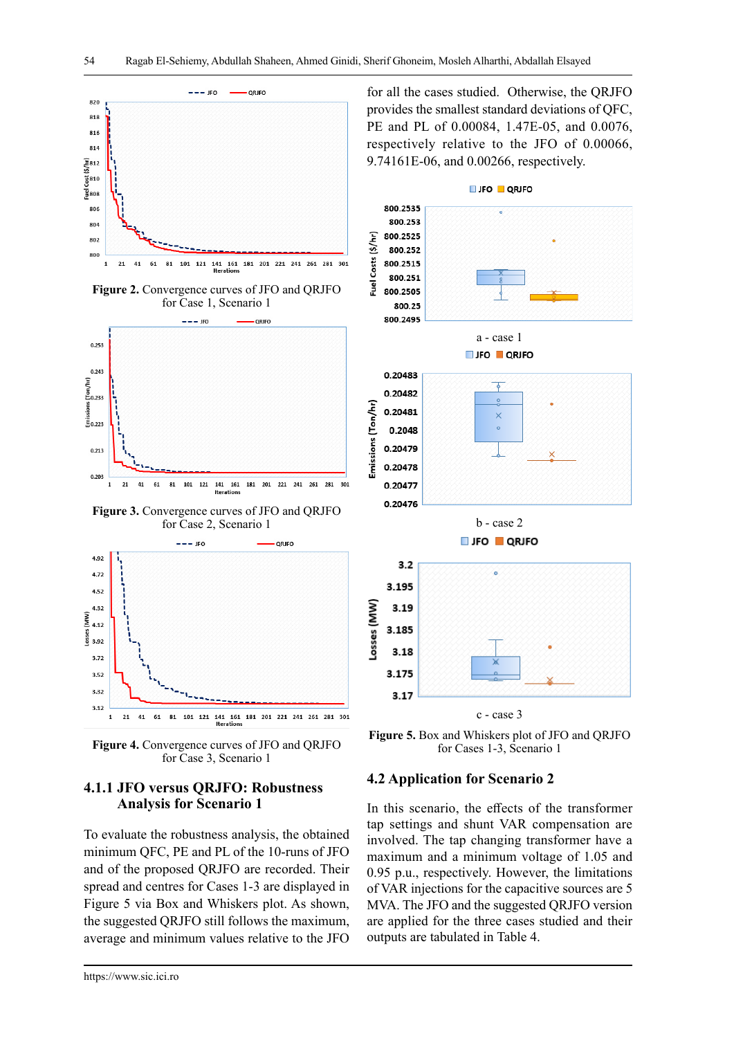

**Figure 2.** Convergence curves of JFO and QRJFO for Case 1, Scenario 1



**Figure 3.** Convergence curves of JFO and QRJFO for Case 2, Scenario 1



**Figure 4.** Convergence curves of JFO and QRJFO for Case 3, Scenario 1

#### **4.1.1 JFO versus QRJFO: Robustness Analysis for Scenario 1**

To evaluate the robustness analysis, the obtained minimum QFC, PE and PL of the 10-runs of JFO and of the proposed QRJFO are recorded. Their spread and centres for Cases 1-3 are displayed in Figure 5 via Box and Whiskers plot. As shown, the suggested QRJFO still follows the maximum, average and minimum values relative to the JFO

for all the cases studied. Otherwise, the QRJFO provides the smallest standard deviations of QFC, PE and PL of 0.00084, 1.47E-05, and 0.0076, respectively relative to the JFO of 0.00066, 9.74161E-06, and 0.00266, respectively.



**Figure 5.** Box and Whiskers plot of JFO and QRJFO for Cases 1-3, Scenario 1

#### **4.2 Application for Scenario 2**

In this scenario, the effects of the transformer tap settings and shunt VAR compensation are involved. The tap changing transformer have a maximum and a minimum voltage of 1.05 and 0.95 p.u., respectively. However, the limitations of VAR injections for the capacitive sources are 5 MVA. The JFO and the suggested QRJFO version are applied for the three cases studied and their outputs are tabulated in Table 4.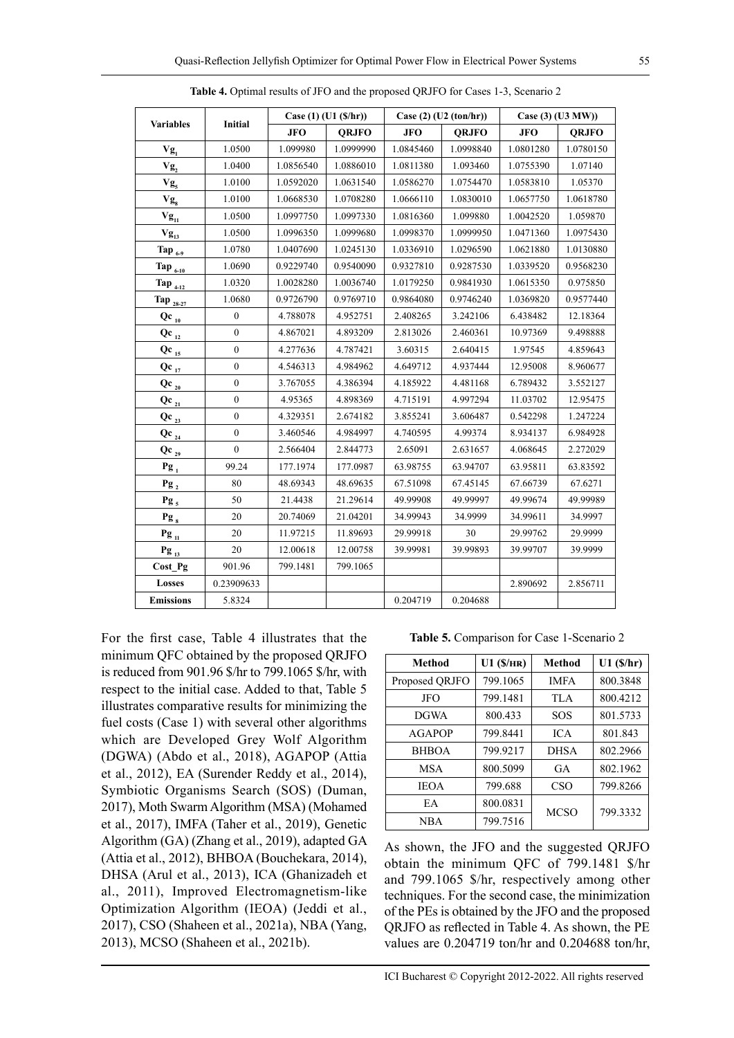|                          |                  | Case $(1)$ $(U1 (S/hr))$ |              | Case $(2)$ (U2 $(ton/hr)$ ) |              | Case $(3)$ $(U3 MW)$ |              |
|--------------------------|------------------|--------------------------|--------------|-----------------------------|--------------|----------------------|--------------|
| <b>Variables</b>         | Initial          | <b>JFO</b>               | <b>ORJFO</b> | JFO.                        | <b>ORJFO</b> | <b>JFO</b>           | <b>QRJFO</b> |
| $\mathbf{V}\mathbf{g}_1$ | 1.0500           | 1.099980                 | 1.0999990    | 1.0845460                   | 1.0998840    | 1.0801280            | 1.0780150    |
| Vg <sub>2</sub>          | 1.0400           | 1.0856540                | 1.0886010    | 1.0811380                   | 1.093460     | 1.0755390            | 1.07140      |
| $Vg_5$                   | 1.0100           | 1.0592020                | 1.0631540    | 1.0586270                   | 1.0754470    | 1.0583810            | 1.05370      |
| $Vg_8$                   | 1.0100           | 1.0668530                | 1.0708280    | 1.0666110                   | 1.0830010    | 1.0657750            | 1.0618780    |
| $Vg_{11}$                | 1.0500           | 1.0997750                | 1.0997330    | 1.0816360                   | 1.099880     | 1.0042520            | 1.059870     |
| $Vg_{13}$                | 1.0500           | 1.0996350                | 1.0999680    | 1.0998370                   | 1.0999950    | 1.0471360            | 1.0975430    |
| Tap $_{6-9}$             | 1.0780           | 1.0407690                | 1.0245130    | 1.0336910                   | 1.0296590    | 1.0621880            | 1.0130880    |
| Tap $_{6-10}$            | 1.0690           | 0.9229740                | 0.9540090    | 0.9327810                   | 0.9287530    | 1.0339520            | 0.9568230    |
| Tap $_{4-12}$            | 1.0320           | 1.0028280                | 1.0036740    | 1.0179250                   | 0.9841930    | 1.0615350            | 0.975850     |
| Tap 28-27                | 1.0680           | 0.9726790                | 0.9769710    | 0.9864080                   | 0.9746240    | 1.0369820            | 0.9577440    |
| $Qc_{10}$                | $\theta$         | 4.788078                 | 4.952751     | 2.408265                    | 3.242106     | 6.438482             | 12.18364     |
| $Qc_{12}$                | $\theta$         | 4.867021                 | 4.893209     | 2.813026                    | 2.460361     | 10.97369             | 9.498888     |
| $Qc_{15}$                | $\theta$         | 4.277636                 | 4.787421     | 3.60315                     | 2.640415     | 1.97545              | 4.859643     |
| $Qe_{17}$                | $\mathbf{0}$     | 4.546313                 | 4.984962     | 4.649712                    | 4.937444     | 12.95008             | 8.960677     |
| Qc $_{20}$               | $\mathbf{0}$     | 3.767055                 | 4.386394     | 4.185922                    | 4.481168     | 6.789432             | 3.552127     |
| ${\bf Qc}$ $_{21}$       | $\boldsymbol{0}$ | 4.95365                  | 4.898369     | 4.715191                    | 4.997294     | 11.03702             | 12.95475     |
| $Qc_{23}$                | $\mathbf{0}$     | 4.329351                 | 2.674182     | 3.855241                    | 3.606487     | 0.542298             | 1.247224     |
| ${\bf Qc}$ $_{24}$       | $\mathbf{0}$     | 3.460546                 | 4.984997     | 4.740595                    | 4.99374      | 8.934137             | 6.984928     |
| $Qc_{_{29}}$             | $\mathbf{0}$     | 2.566404                 | 2.844773     | 2.65091                     | 2.631657     | 4.068645             | 2.272029     |
| $Pg_1$                   | 99.24            | 177.1974                 | 177.0987     | 63.98755                    | 63.94707     | 63.95811             | 63.83592     |
| $Pg_2$                   | 80               | 48.69343                 | 48.69635     | 67.51098                    | 67.45145     | 67.66739             | 67.6271      |
| $Pg_5$                   | 50               | 21.4438                  | 21.29614     | 49.99908                    | 49.99997     | 49.99674             | 49.99989     |
| Pg <sub>s</sub>          | 20               | 20.74069                 | 21.04201     | 34.99943                    | 34.9999      | 34.99611             | 34.9997      |
| Pg $\frac{1}{11}$        | 20               | 11.97215                 | 11.89693     | 29.99918                    | 30           | 29.99762             | 29.9999      |
| $Pg_{13}$                | 20               | 12.00618                 | 12.00758     | 39.99981                    | 39.99893     | 39.99707             | 39.9999      |
| Cost_Pg                  | 901.96           | 799.1481                 | 799.1065     |                             |              |                      |              |
| Losses                   | 0.23909633       |                          |              |                             |              | 2.890692             | 2.856711     |
| <b>Emissions</b>         | 5.8324           |                          |              | 0.204719                    | 0.204688     |                      |              |

**Table 4.** Optimal results of JFO and the proposed QRJFO for Cases 1-3, Scenario 2

For the first case, Table 4 illustrates that the minimum QFC obtained by the proposed QRJFO is reduced from 901.96 \$/hr to 799.1065 \$/hr, with respect to the initial case. Added to that, Table 5 illustrates comparative results for minimizing the fuel costs (Case 1) with several other algorithms which are Developed Grey Wolf Algorithm (DGWA) (Abdo et al., 2018), AGAPOP (Attia et al., 2012), EA (Surender Reddy et al., 2014), Symbiotic Organisms Search (SOS) (Duman, 2017), Moth Swarm Algorithm (MSA) (Mohamed et al., 2017), IMFA (Taher et al., 2019), Genetic Algorithm (GA) (Zhang et al., 2019), adapted GA (Attia et al., 2012), BHBOA (Bouchekara, 2014), DHSA (Arul et al., 2013), ICA (Ghanizadeh et al., 2011), Improved Electromagnetism-like Optimization Algorithm (IEOA) (Jeddi et al., 2017), CSO (Shaheen et al., 2021a), NBA (Yang, 2013), MCSO (Shaheen et al., 2021b).

**Table 5.** Comparison for Case 1-Scenario 2

| <b>Method</b>  | U1(S/HR) | <b>Method</b> | U1(S/hr) |  |
|----------------|----------|---------------|----------|--|
| Proposed QRJFO | 799.1065 | <b>IMFA</b>   | 800.3848 |  |
| <b>JFO</b>     | 799.1481 | <b>TLA</b>    | 800.4212 |  |
| <b>DGWA</b>    | 800.433  | SOS           | 801.5733 |  |
| <b>AGAPOP</b>  | 799.8441 | <b>ICA</b>    | 801.843  |  |
| <b>BHBOA</b>   | 799.9217 | <b>DHSA</b>   | 802.2966 |  |
| <b>MSA</b>     | 800.5099 | <b>GA</b>     | 802.1962 |  |
| <b>IEOA</b>    | 799.688  | CSO           | 799.8266 |  |
| EA             | 800.0831 | <b>MCSO</b>   | 799.3332 |  |
| NBA            | 799.7516 |               |          |  |

As shown, the JFO and the suggested QRJFO obtain the minimum QFC of 799.1481 \$/hr and 799.1065 \$/hr, respectively among other techniques. For the second case, the minimization of the PEs is obtained by the JFO and the proposed QRJFO as reflected in Table 4. As shown, the PE values are 0.204719 ton/hr and 0.204688 ton/hr,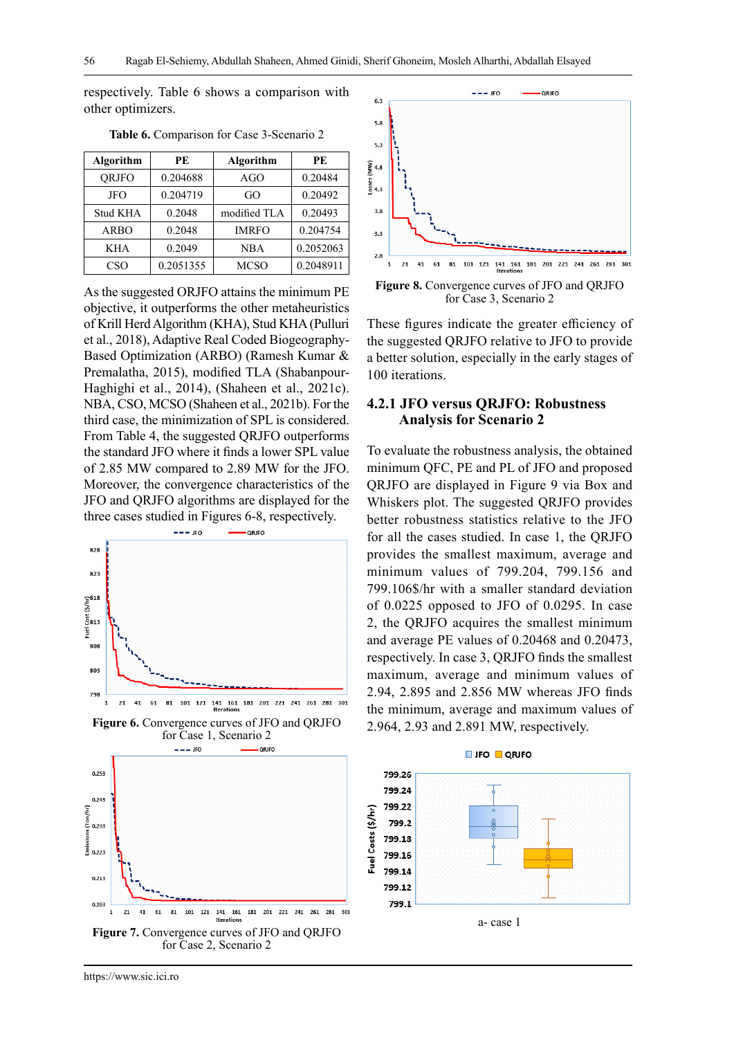respectively. Table 6 shows a comparison with other optimizers.

| <b>Algorithm</b> | PE        | Algorithm    | РE        |
|------------------|-----------|--------------|-----------|
| ORJFO            | 0.204688  | AGO          | 0.20484   |
| JFO              | 0.204719  | GO           | 0.20492   |
| Stud KHA         | 0.2048    | modified TLA | 0.20493   |
| ARBO             | 0.2048    | <b>IMRFO</b> | 0.204754  |
| <b>KHA</b>       | 0.2049    | <b>NBA</b>   | 0.2052063 |
| CSO              | 0.2051355 | <b>MCSO</b>  | 0.2048911 |

**Table 6.** Comparison for Case 3-Scenario 2

As the suggested ORJFO attains the minimum PE objective, it outperforms the other metaheuristics of Krill Herd Algorithm (KHA), Stud KHA (Pulluri et al., 2018), Adaptive Real Coded Biogeography-Based Optimization (ARBO) (Ramesh Kumar & Premalatha, 2015), modified TLA (Shabanpour-Haghighi et al., 2014), (Shaheen et al., 2021c). NBA, CSO, MCSO (Shaheen et al., 2021b). For the third case, the minimization of SPL is considered. From Table 4, the suggested QRJFO outperforms the standard JFO where it finds a lower SPL value of 2.85 MW compared to 2.89 MW for the JFO. Moreover, the convergence characteristics of the JFO and QRJFO algorithms are displayed for the three cases studied in Figures 6-8, respectively.



 $- - -$  iso ORJEO  $6.3$ 5.8  $5.3$ MM)  $4.8$ **SSES**<br>-- 4.3  $3.3$  $3.3$ 

> $_{21}$  $41$  $\bf{61}$



81 101 121 141 161 181 201 221 241 261 281 301

These figures indicate the greater efficiency of the suggested QRJFO relative to JFO to provide a better solution, especially in the early stages of 100 iterations.

# **4.2.1 JFO versus QRJFO: Robustness Analysis for Scenario 2**

To evaluate the robustness analysis, the obtained minimum QFC, PE and PL of JFO and proposed QRJFO are displayed in Figure 9 via Box and Whiskers plot. The suggested QRJFO provides better robustness statistics relative to the JFO for all the cases studied. In case 1, the QRJFO provides the smallest maximum, average and minimum values of 799.204, 799.156 and 799.106\$/hr with a smaller standard deviation of 0.0225 opposed to JFO of 0.0295. In case 2, the QRJFO acquires the smallest minimum and average PE values of 0.20468 and 0.20473, respectively. In case 3, QRJFO finds the smallest maximum, average and minimum values of 2.94, 2.895 and 2.856 MW whereas JFO finds the minimum, average and maximum values of 2.964, 2.93 and 2.891 MW, respectively.

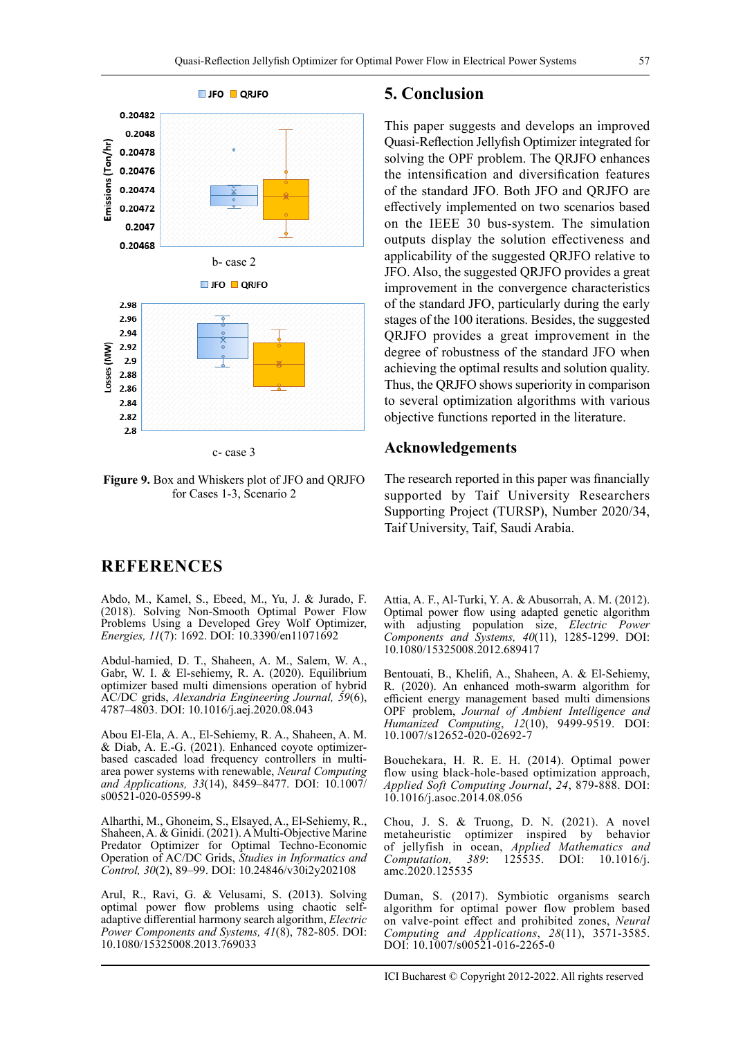

**Figure 9.** Box and Whiskers plot of JFO and QRJFO for Cases 1-3, Scenario 2

# **REFERENCES**

Abdo, M., Kamel, S., Ebeed, M., Yu, J. & Jurado, F. (2018). Solving Non-Smooth Optimal Power Flow Problems Using a Developed Grey Wolf Optimizer, *Energies, 11*(7): 1692. DOI: 10.3390/en11071692

Abdul-hamied, D. T., Shaheen, A. M., Salem, W. A., Gabr, W. I. & El-sehiemy, R. A. (2020). Equilibrium optimizer based multi dimensions operation of hybrid AC/DC grids, *Alexandria Engineering Journal, 59*(6), 4787–4803. DOI: 10.1016/j.aej.2020.08.043

Abou El-Ela, A. A., El-Sehiemy, R. A., Shaheen, A. M. & Diab, A. E.-G. (2021). Enhanced coyote optimizerbased cascaded load frequency controllers in multiarea power systems with renewable, *Neural Computing and Applications, 33*(14), 8459–8477. DOI: 10.1007/ s00521-020-05599-8

Alharthi, M., Ghoneim, S., Elsayed, A., El-Sehiemy, R., Shaheen, A. & Ginidi. (2021). A Multi-Objective Marine Predator Optimizer for Optimal Techno-Economic Operation of AC/DC Grids, *Studies in Informatics and Control, 30*(2), 89–99. DOI: 10.24846/v30i2y202108

Arul, R., Ravi, G. & Velusami, S. (2013). Solving optimal power flow problems using chaotic selfadaptive differential harmony search algorithm, *Electric Power Components and Systems, 41*(8), 782-805. DOI: 10.1080/15325008.2013.769033

# **5. Conclusion**

This paper suggests and develops an improved Quasi-Reflection Jellyfish Optimizer integrated for solving the OPF problem. The QRJFO enhances the intensification and diversification features of the standard JFO. Both JFO and QRJFO are effectively implemented on two scenarios based on the IEEE 30 bus-system. The simulation outputs display the solution effectiveness and applicability of the suggested QRJFO relative to JFO. Also, the suggested QRJFO provides a great improvement in the convergence characteristics of the standard JFO, particularly during the early stages of the 100 iterations. Besides, the suggested QRJFO provides a great improvement in the degree of robustness of the standard JFO when achieving the optimal results and solution quality. Thus, the QRJFO shows superiority in comparison to several optimization algorithms with various objective functions reported in the literature.

#### **Acknowledgements**

The research reported in this paper was financially supported by Taif University Researchers Supporting Project (TURSP), Number 2020/34, Taif University, Taif, Saudi Arabia.

Attia, A. F., Al-Turki, Y. A. & Abusorrah, A. M. (2012). Optimal power flow using adapted genetic algorithm with adjusting population size, *Electric Power Components and Systems, 40*(11), 1285-1299. DOI: 10.1080/15325008.2012.689417

Bentouati, B., Khelifi, A., Shaheen, A. & El-Sehiemy, R. (2020). An enhanced moth-swarm algorithm for efficient energy management based multi dimensions OPF problem, *Journal of Ambient Intelligence and Humanized Computing*, *12*(10), 9499-9519. DOI: 10.1007/s12652-020-02692-7

Bouchekara, H. R. E. H. (2014). Optimal power flow using black-hole-based optimization approach, *Applied Soft Computing Journal*, *24*, 879-888. DOI: 10.1016/j.asoc.2014.08.056

Chou, J. S. & Truong, D. N. (2021). A novel metaheuristic optimizer inspired by behavior of jellyfish in ocean, *Applied Mathematics and Computation, 389*: 125535. DOI: 10.1016/j. amc.2020.125535

Duman, S. (2017). Symbiotic organisms search algorithm for optimal power flow problem based on valve-point effect and prohibited zones, *Neural Computing and Applications*, *28*(11), 3571-3585. DOI: 10.1007/s00521-016-2265-0